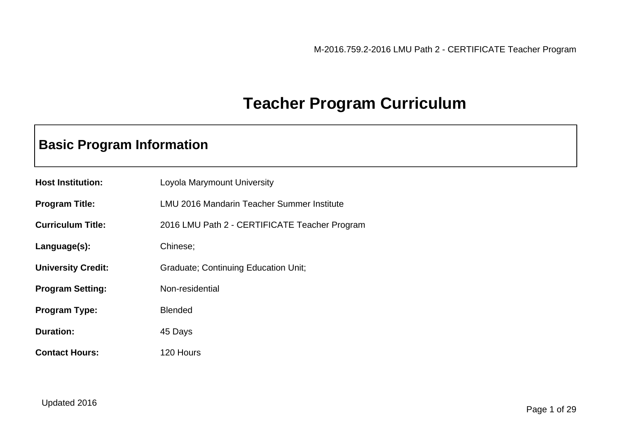## **Teacher Program Curriculum**

## **Basic Program Information**

| <b>Host Institution:</b>  | Loyola Marymount University                   |
|---------------------------|-----------------------------------------------|
| <b>Program Title:</b>     | LMU 2016 Mandarin Teacher Summer Institute    |
| <b>Curriculum Title:</b>  | 2016 LMU Path 2 - CERTIFICATE Teacher Program |
| Language(s):              | Chinese;                                      |
| <b>University Credit:</b> | <b>Graduate; Continuing Education Unit;</b>   |
| <b>Program Setting:</b>   | Non-residential                               |
| <b>Program Type:</b>      | <b>Blended</b>                                |
| <b>Duration:</b>          | 45 Days                                       |
| <b>Contact Hours:</b>     | 120 Hours                                     |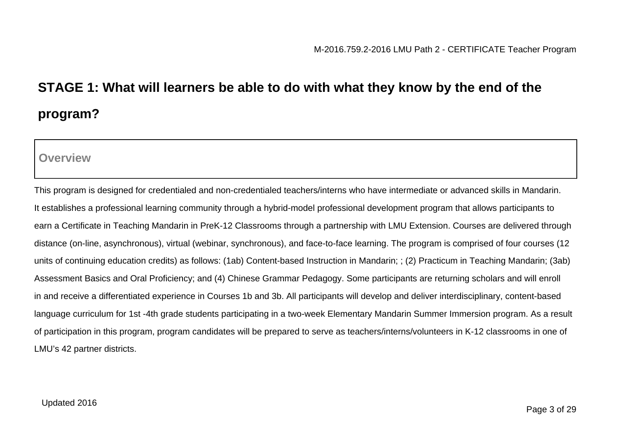# **STAGE 1: What will learners be able to do with what they know by the end of the program?**

**Overview**

This program is designed for credentialed and non-credentialed teachers/interns who have intermediate or advanced skills in Mandarin. It establishes a professional learning community through a hybrid-model professional development program that allows participants to earn a Certificate in Teaching Mandarin in PreK-12 Classrooms through a partnership with LMU Extension. Courses are delivered through distance (on-line, asynchronous), virtual (webinar, synchronous), and face-to-face learning. The program is comprised of four courses (12 units of continuing education credits) as follows: (1ab) Content-based Instruction in Mandarin; ; (2) Practicum in Teaching Mandarin; (3ab) Assessment Basics and Oral Proficiency; and (4) Chinese Grammar Pedagogy. Some participants are returning scholars and will enroll in and receive a differentiated experience in Courses 1b and 3b. All participants will develop and deliver interdisciplinary, content-based language curriculum for 1st -4th grade students participating in a two-week Elementary Mandarin Summer Immersion program. As a result of participation in this program, program candidates will be prepared to serve as teachers/interns/volunteers in K-12 classrooms in one of LMU's 42 partner districts.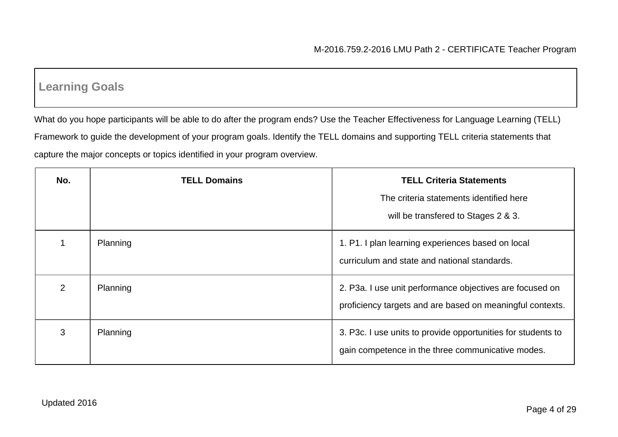## **Learning Goals**

What do you hope participants will be able to do after the program ends? Use the Teacher Effectiveness for Language Learning (TELL) Framework to guide the development of your program goals. Identify the TELL domains and supporting TELL criteria statements that capture the major concepts or topics identified in your program overview.

| No.           | <b>TELL Domains</b> | <b>TELL Criteria Statements</b><br>The criteria statements identified here<br>will be transfered to Stages 2 & 3.     |
|---------------|---------------------|-----------------------------------------------------------------------------------------------------------------------|
|               | Planning            | 1. P1. I plan learning experiences based on local<br>curriculum and state and national standards.                     |
| $\mathcal{P}$ | Planning            | 2. P3a. I use unit performance objectives are focused on<br>proficiency targets and are based on meaningful contexts. |
| 3             | Planning            | 3. P3c. I use units to provide opportunities for students to<br>gain competence in the three communicative modes.     |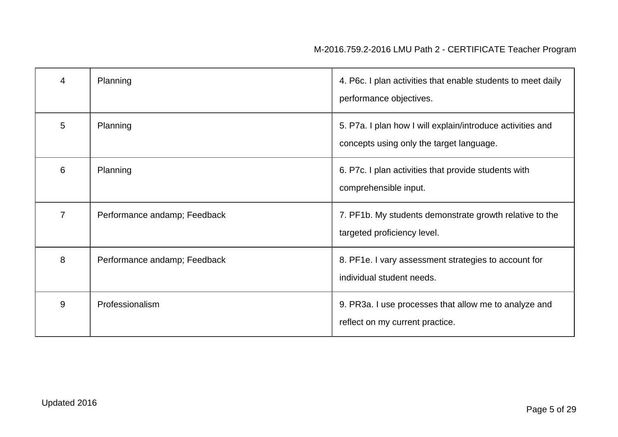| 4              | Planning                     | 4. P6c. I plan activities that enable students to meet daily<br>performance objectives.                |
|----------------|------------------------------|--------------------------------------------------------------------------------------------------------|
| 5              | Planning                     | 5. P7a. I plan how I will explain/introduce activities and<br>concepts using only the target language. |
| 6              | Planning                     | 6. P7c. I plan activities that provide students with<br>comprehensible input.                          |
| $\overline{7}$ | Performance andamp; Feedback | 7. PF1b. My students demonstrate growth relative to the<br>targeted proficiency level.                 |
| 8              | Performance andamp; Feedback | 8. PF1e. I vary assessment strategies to account for<br>individual student needs.                      |
| 9              | Professionalism              | 9. PR3a. I use processes that allow me to analyze and<br>reflect on my current practice.               |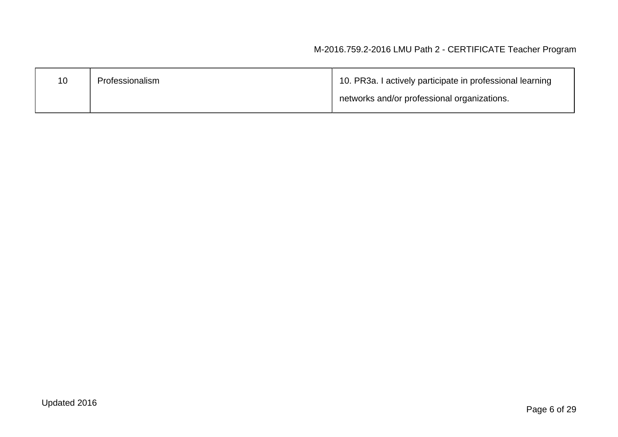| 10 | Professionalism | 10. PR3a. I actively participate in professional learning |  |
|----|-----------------|-----------------------------------------------------------|--|
|    |                 | networks and/or professional organizations.               |  |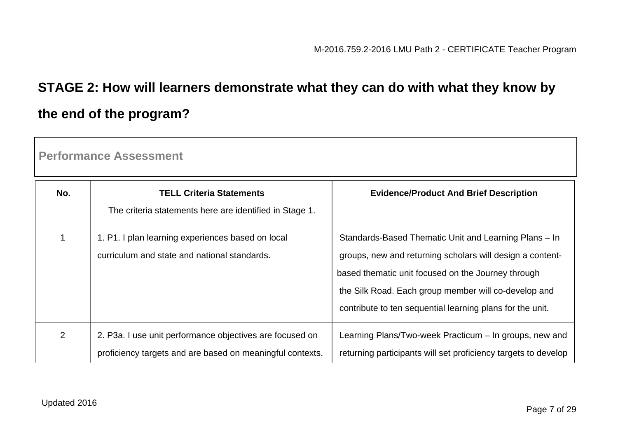# **STAGE 2: How will learners demonstrate what they can do with what they know by the end of the program?**

**Performance Assessment**

| No.            | <b>TELL Criteria Statements</b><br>The criteria statements here are identified in Stage 1.                            | <b>Evidence/Product And Brief Description</b>                                                                                                                                                                                                                                                 |
|----------------|-----------------------------------------------------------------------------------------------------------------------|-----------------------------------------------------------------------------------------------------------------------------------------------------------------------------------------------------------------------------------------------------------------------------------------------|
|                | 1. P1. I plan learning experiences based on local<br>curriculum and state and national standards.                     | Standards-Based Thematic Unit and Learning Plans - In<br>groups, new and returning scholars will design a content-<br>based thematic unit focused on the Journey through<br>the Silk Road. Each group member will co-develop and<br>contribute to ten sequential learning plans for the unit. |
| $\overline{2}$ | 2. P3a. I use unit performance objectives are focused on<br>proficiency targets and are based on meaningful contexts. | Learning Plans/Two-week Practicum – In groups, new and<br>returning participants will set proficiency targets to develop                                                                                                                                                                      |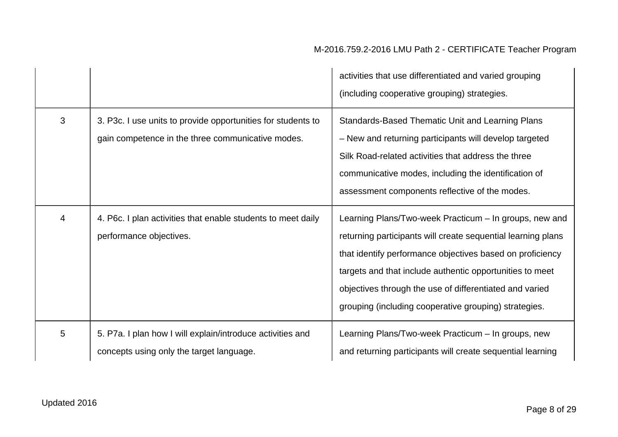|   |                                                                                                                   | activities that use differentiated and varied grouping<br>(including cooperative grouping) strategies.                                                                                                                                                                                                                                                              |
|---|-------------------------------------------------------------------------------------------------------------------|---------------------------------------------------------------------------------------------------------------------------------------------------------------------------------------------------------------------------------------------------------------------------------------------------------------------------------------------------------------------|
| 3 | 3. P3c. I use units to provide opportunities for students to<br>gain competence in the three communicative modes. | <b>Standards-Based Thematic Unit and Learning Plans</b><br>- New and returning participants will develop targeted<br>Silk Road-related activities that address the three<br>communicative modes, including the identification of<br>assessment components reflective of the modes.                                                                                  |
| 4 | 4. P6c. I plan activities that enable students to meet daily<br>performance objectives.                           | Learning Plans/Two-week Practicum - In groups, new and<br>returning participants will create sequential learning plans<br>that identify performance objectives based on proficiency<br>targets and that include authentic opportunities to meet<br>objectives through the use of differentiated and varied<br>grouping (including cooperative grouping) strategies. |
| 5 | 5. P7a. I plan how I will explain/introduce activities and<br>concepts using only the target language.            | Learning Plans/Two-week Practicum - In groups, new<br>and returning participants will create sequential learning                                                                                                                                                                                                                                                    |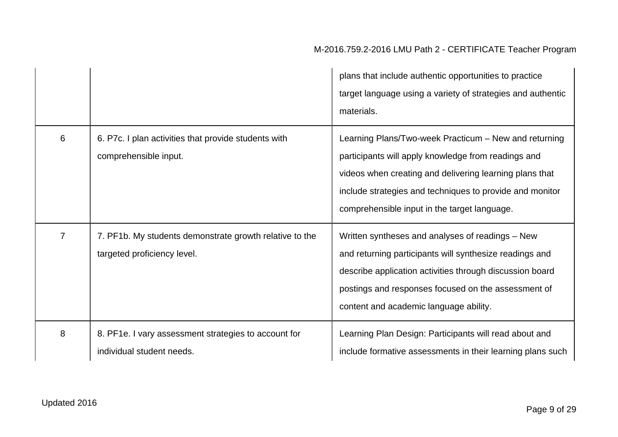|                |                                                                                        | plans that include authentic opportunities to practice<br>target language using a variety of strategies and authentic<br>materials.                                                                                                                                                 |
|----------------|----------------------------------------------------------------------------------------|-------------------------------------------------------------------------------------------------------------------------------------------------------------------------------------------------------------------------------------------------------------------------------------|
| 6              | 6. P7c. I plan activities that provide students with<br>comprehensible input.          | Learning Plans/Two-week Practicum – New and returning<br>participants will apply knowledge from readings and<br>videos when creating and delivering learning plans that<br>include strategies and techniques to provide and monitor<br>comprehensible input in the target language. |
| $\overline{7}$ | 7. PF1b. My students demonstrate growth relative to the<br>targeted proficiency level. | Written syntheses and analyses of readings - New<br>and returning participants will synthesize readings and<br>describe application activities through discussion board<br>postings and responses focused on the assessment of<br>content and academic language ability.            |
| 8              | 8. PF1e. I vary assessment strategies to account for<br>individual student needs.      | Learning Plan Design: Participants will read about and<br>include formative assessments in their learning plans such                                                                                                                                                                |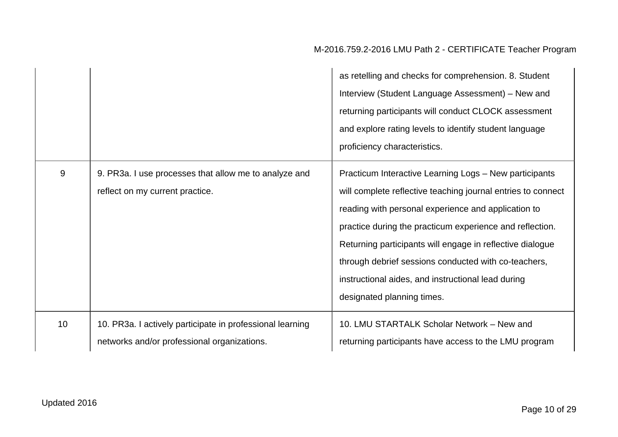|    |                                                                                                          | as retelling and checks for comprehension. 8. Student<br>Interview (Student Language Assessment) – New and<br>returning participants will conduct CLOCK assessment<br>and explore rating levels to identify student language<br>proficiency characteristics.                                                                                                                                                                                       |
|----|----------------------------------------------------------------------------------------------------------|----------------------------------------------------------------------------------------------------------------------------------------------------------------------------------------------------------------------------------------------------------------------------------------------------------------------------------------------------------------------------------------------------------------------------------------------------|
| 9  | 9. PR3a. I use processes that allow me to analyze and<br>reflect on my current practice.                 | Practicum Interactive Learning Logs - New participants<br>will complete reflective teaching journal entries to connect<br>reading with personal experience and application to<br>practice during the practicum experience and reflection.<br>Returning participants will engage in reflective dialogue<br>through debrief sessions conducted with co-teachers,<br>instructional aides, and instructional lead during<br>designated planning times. |
| 10 | 10. PR3a. I actively participate in professional learning<br>networks and/or professional organizations. | 10. LMU STARTALK Scholar Network - New and<br>returning participants have access to the LMU program                                                                                                                                                                                                                                                                                                                                                |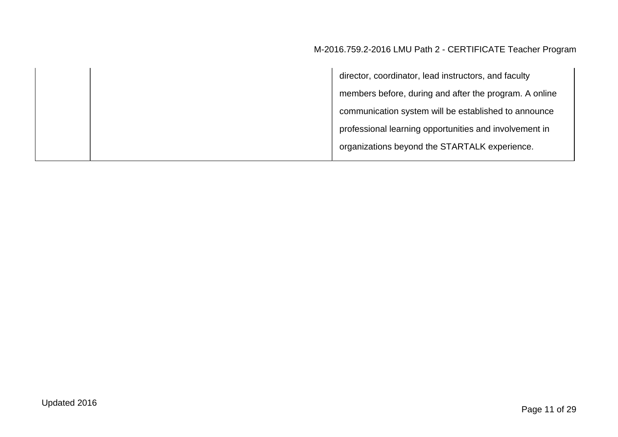director, coordinator, lead instructors, and faculty members before, during and after the program. A online communication system will be established to announce professional learning opportunities and involvement in organizations beyond the STARTALK experience.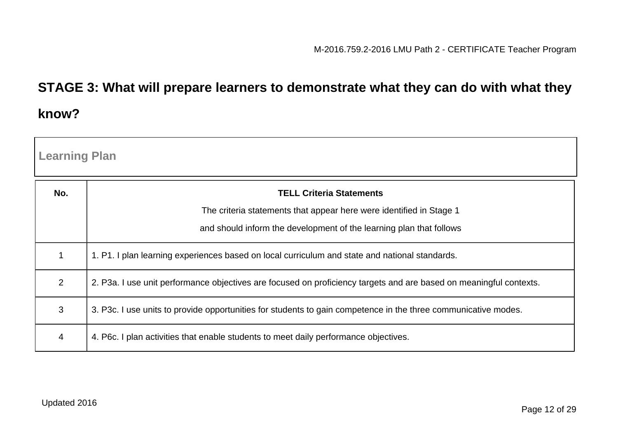## **STAGE 3: What will prepare learners to demonstrate what they can do with what they know?**

| <b>Learning Plan</b> |                                                                                                                    |  |  |
|----------------------|--------------------------------------------------------------------------------------------------------------------|--|--|
| No.                  | <b>TELL Criteria Statements</b>                                                                                    |  |  |
|                      | The criteria statements that appear here were identified in Stage 1                                                |  |  |
|                      | and should inform the development of the learning plan that follows                                                |  |  |
| 1                    | 1. P1. I plan learning experiences based on local curriculum and state and national standards.                     |  |  |
| 2                    | 2. P3a. I use unit performance objectives are focused on proficiency targets and are based on meaningful contexts. |  |  |
| 3                    | 3. P3c. I use units to provide opportunities for students to gain competence in the three communicative modes.     |  |  |
| 4                    | 4. P6c. I plan activities that enable students to meet daily performance objectives.                               |  |  |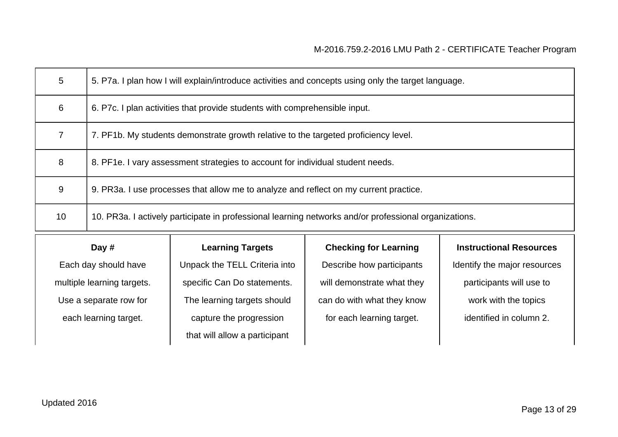| 5  | 5. P7a. I plan how I will explain/introduce activities and concepts using only the target language.   |
|----|-------------------------------------------------------------------------------------------------------|
| 6  | 6. P7c. I plan activities that provide students with comprehensible input.                            |
| 7  | 7. PF1b. My students demonstrate growth relative to the targeted proficiency level.                   |
| 8  | 8. PF1e. I vary assessment strategies to account for individual student needs.                        |
| 9  | 9. PR3a. I use processes that allow me to analyze and reflect on my current practice.                 |
| 10 | 10. PR3a. I actively participate in professional learning networks and/or professional organizations. |

#### **Day #**

Each day should have multiple learning targets. Use a separate row for each learning target.

#### **Learning Targets**

Unpack the TELL Criteria into specific Can Do statements. The learning targets should capture the progression that will allow a participant

#### **Checking for Learning**

Describe how participants will demonstrate what they can do with what they know for each learning target.

#### **Instructional Resources**

Identify the major resources participants will use to work with the topics

identified in column 2.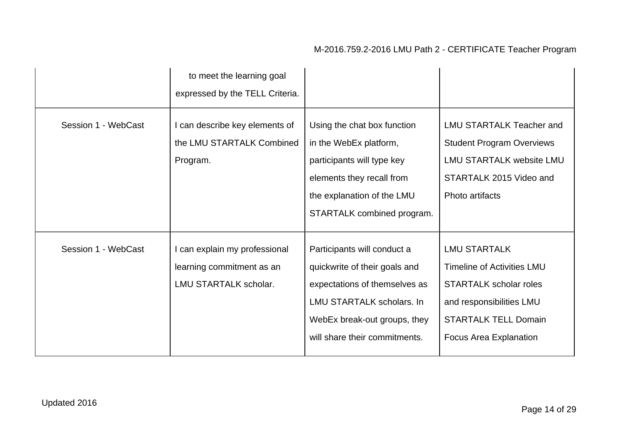|                     | to meet the learning goal<br>expressed by the TELL Criteria.                               |                                                                                                                                                                                             |                                                                                                                                                                                       |
|---------------------|--------------------------------------------------------------------------------------------|---------------------------------------------------------------------------------------------------------------------------------------------------------------------------------------------|---------------------------------------------------------------------------------------------------------------------------------------------------------------------------------------|
| Session 1 - WebCast | I can describe key elements of<br>the LMU STARTALK Combined<br>Program.                    | Using the chat box function<br>in the WebEx platform,<br>participants will type key<br>elements they recall from<br>the explanation of the LMU<br>STARTALK combined program.                | <b>LMU STARTALK Teacher and</b><br><b>Student Program Overviews</b><br><b>LMU STARTALK website LMU</b><br>STARTALK 2015 Video and<br>Photo artifacts                                  |
| Session 1 - WebCast | I can explain my professional<br>learning commitment as an<br><b>LMU STARTALK scholar.</b> | Participants will conduct a<br>quickwrite of their goals and<br>expectations of themselves as<br>LMU STARTALK scholars. In<br>WebEx break-out groups, they<br>will share their commitments. | <b>LMU STARTALK</b><br><b>Timeline of Activities LMU</b><br><b>STARTALK scholar roles</b><br>and responsibilities LMU<br><b>STARTALK TELL Domain</b><br><b>Focus Area Explanation</b> |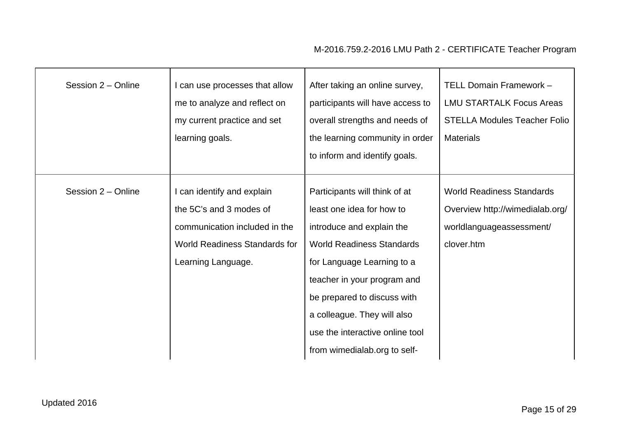| Session 2 - Online | I can use processes that allow<br>me to analyze and reflect on<br>my current practice and set<br>learning goals.                                     | After taking an online survey,<br>participants will have access to<br>overall strengths and needs of<br>the learning community in order<br>to inform and identify goals.                                                                                                                                                  | TELL Domain Framework -<br><b>LMU STARTALK Focus Areas</b><br><b>STELLA Modules Teacher Folio</b><br><b>Materials</b> |
|--------------------|------------------------------------------------------------------------------------------------------------------------------------------------------|---------------------------------------------------------------------------------------------------------------------------------------------------------------------------------------------------------------------------------------------------------------------------------------------------------------------------|-----------------------------------------------------------------------------------------------------------------------|
| Session 2 - Online | I can identify and explain<br>the 5C's and 3 modes of<br>communication included in the<br><b>World Readiness Standards for</b><br>Learning Language. | Participants will think of at<br>least one idea for how to<br>introduce and explain the<br><b>World Readiness Standards</b><br>for Language Learning to a<br>teacher in your program and<br>be prepared to discuss with<br>a colleague. They will also<br>use the interactive online tool<br>from wimedialab.org to self- | <b>World Readiness Standards</b><br>Overview http://wimedialab.org/<br>worldlanguageassessment/<br>clover.htm         |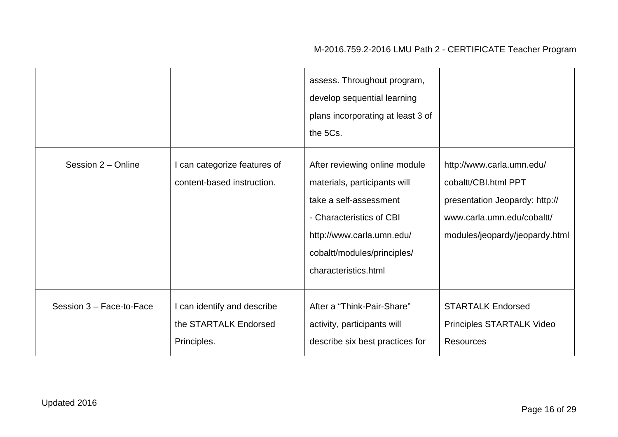|                          |                                                                     | assess. Throughout program,<br>develop sequential learning<br>plans incorporating at least 3 of<br>the 5Cs.                                                                                             |                                                                                                                                                     |
|--------------------------|---------------------------------------------------------------------|---------------------------------------------------------------------------------------------------------------------------------------------------------------------------------------------------------|-----------------------------------------------------------------------------------------------------------------------------------------------------|
| Session 2 - Online       | I can categorize features of<br>content-based instruction.          | After reviewing online module<br>materials, participants will<br>take a self-assessment<br>- Characteristics of CBI<br>http://www.carla.umn.edu/<br>cobaltt/modules/principles/<br>characteristics.html | http://www.carla.umn.edu/<br>cobaltt/CBI.html PPT<br>presentation Jeopardy: http://<br>www.carla.umn.edu/cobaltt/<br>modules/jeopardy/jeopardy.html |
| Session 3 - Face-to-Face | I can identify and describe<br>the STARTALK Endorsed<br>Principles. | After a "Think-Pair-Share"<br>activity, participants will<br>describe six best practices for                                                                                                            | <b>STARTALK Endorsed</b><br>Principles STARTALK Video<br><b>Resources</b>                                                                           |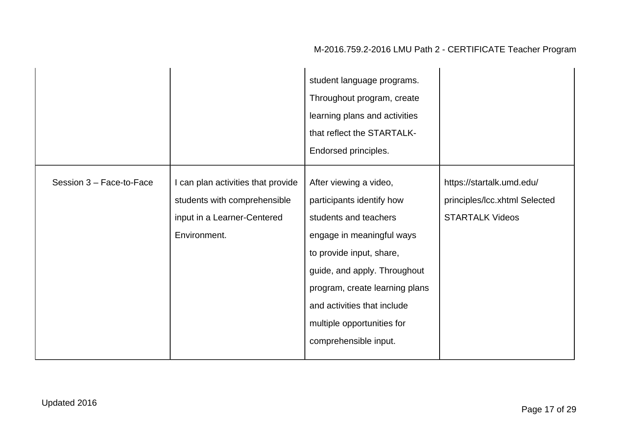|                          |                                                                                                                   | student language programs.<br>Throughout program, create<br>learning plans and activities<br>that reflect the STARTALK-<br>Endorsed principles.                                                                                                                                               |                                                                                      |
|--------------------------|-------------------------------------------------------------------------------------------------------------------|-----------------------------------------------------------------------------------------------------------------------------------------------------------------------------------------------------------------------------------------------------------------------------------------------|--------------------------------------------------------------------------------------|
| Session 3 - Face-to-Face | I can plan activities that provide<br>students with comprehensible<br>input in a Learner-Centered<br>Environment. | After viewing a video,<br>participants identify how<br>students and teachers<br>engage in meaningful ways<br>to provide input, share,<br>guide, and apply. Throughout<br>program, create learning plans<br>and activities that include<br>multiple opportunities for<br>comprehensible input. | https://startalk.umd.edu/<br>principles/Icc.xhtml Selected<br><b>STARTALK Videos</b> |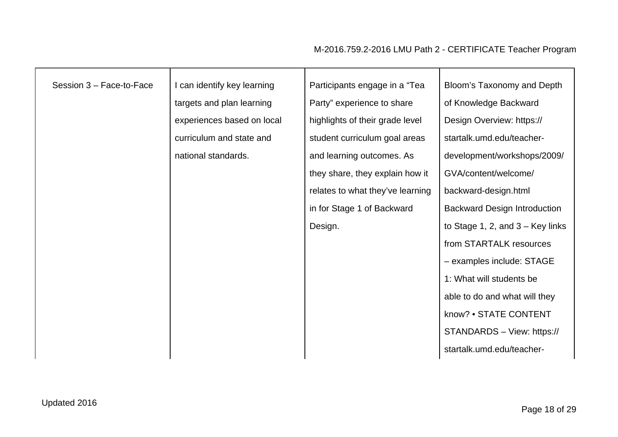| Session 3 - Face-to-Face | I can identify key learning | Participants engage in a "Tea    | Bloom's Taxonomy and Depth          |
|--------------------------|-----------------------------|----------------------------------|-------------------------------------|
|                          | targets and plan learning   | Party" experience to share       | of Knowledge Backward               |
|                          | experiences based on local  | highlights of their grade level  | Design Overview: https://           |
|                          | curriculum and state and    | student curriculum goal areas    | startalk.umd.edu/teacher-           |
|                          | national standards.         | and learning outcomes. As        | development/workshops/2009/         |
|                          |                             | they share, they explain how it  | GVA/content/welcome/                |
|                          |                             | relates to what they've learning | backward-design.html                |
|                          |                             | in for Stage 1 of Backward       | <b>Backward Design Introduction</b> |
|                          |                             | Design.                          | to Stage 1, 2, and $3 -$ Key links  |
|                          |                             |                                  | from STARTALK resources             |
|                          |                             |                                  | - examples include: STAGE           |
|                          |                             |                                  | 1: What will students be            |
|                          |                             |                                  | able to do and what will they       |
|                          |                             |                                  | know? • STATE CONTENT               |
|                          |                             |                                  | STANDARDS - View: https://          |
|                          |                             |                                  | startalk.umd.edu/teacher-           |
|                          |                             |                                  |                                     |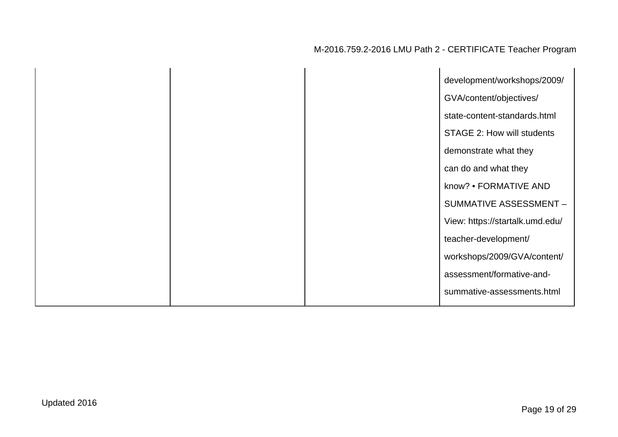|  | development/workshops/2009/     |
|--|---------------------------------|
|  | GVA/content/objectives/         |
|  | state-content-standards.html    |
|  | STAGE 2: How will students      |
|  | demonstrate what they           |
|  | can do and what they            |
|  | know? • FORMATIVE AND           |
|  | SUMMATIVE ASSESSMENT -          |
|  | View: https://startalk.umd.edu/ |
|  | teacher-development/            |
|  | workshops/2009/GVA/content/     |
|  | assessment/formative-and-       |
|  | summative-assessments.html      |
|  |                                 |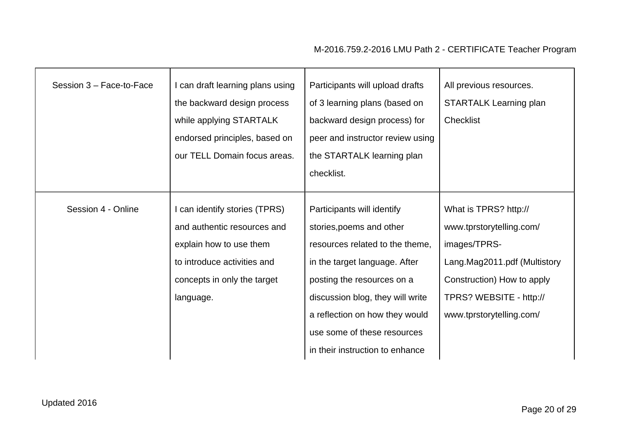| Session 3 - Face-to-Face | can draft learning plans using<br>the backward design process<br>while applying STARTALK<br>endorsed principles, based on<br>our TELL Domain focus areas.          | Participants will upload drafts<br>of 3 learning plans (based on<br>backward design process) for<br>peer and instructor review using<br>the STARTALK learning plan<br>checklist.                                                                                                                 | All previous resources.<br><b>STARTALK Learning plan</b><br>Checklist                                                                                                                  |
|--------------------------|--------------------------------------------------------------------------------------------------------------------------------------------------------------------|--------------------------------------------------------------------------------------------------------------------------------------------------------------------------------------------------------------------------------------------------------------------------------------------------|----------------------------------------------------------------------------------------------------------------------------------------------------------------------------------------|
| Session 4 - Online       | I can identify stories (TPRS)<br>and authentic resources and<br>explain how to use them<br>to introduce activities and<br>concepts in only the target<br>language. | Participants will identify<br>stories, poems and other<br>resources related to the theme,<br>in the target language. After<br>posting the resources on a<br>discussion blog, they will write<br>a reflection on how they would<br>use some of these resources<br>in their instruction to enhance | What is TPRS? http://<br>www.tprstorytelling.com/<br>images/TPRS-<br>Lang.Mag2011.pdf (Multistory<br>Construction) How to apply<br>TPRS? WEBSITE - http://<br>www.tprstorytelling.com/ |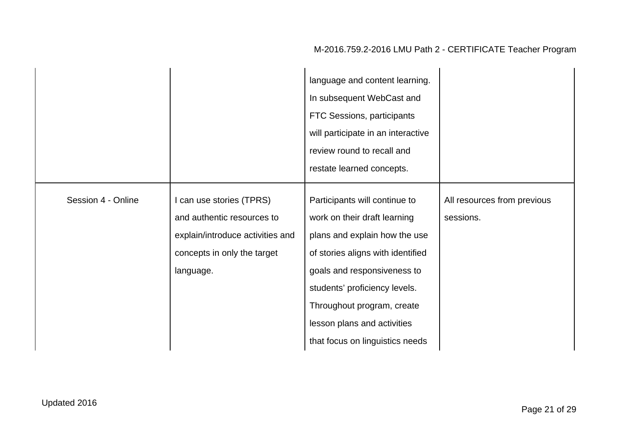|                    |                                                                                                                                        | language and content learning.<br>In subsequent WebCast and<br>FTC Sessions, participants<br>will participate in an interactive<br>review round to recall and                                                                                                                                       |                                          |
|--------------------|----------------------------------------------------------------------------------------------------------------------------------------|-----------------------------------------------------------------------------------------------------------------------------------------------------------------------------------------------------------------------------------------------------------------------------------------------------|------------------------------------------|
|                    |                                                                                                                                        | restate learned concepts.                                                                                                                                                                                                                                                                           |                                          |
| Session 4 - Online | I can use stories (TPRS)<br>and authentic resources to<br>explain/introduce activities and<br>concepts in only the target<br>language. | Participants will continue to<br>work on their draft learning<br>plans and explain how the use<br>of stories aligns with identified<br>goals and responsiveness to<br>students' proficiency levels.<br>Throughout program, create<br>lesson plans and activities<br>that focus on linguistics needs | All resources from previous<br>sessions. |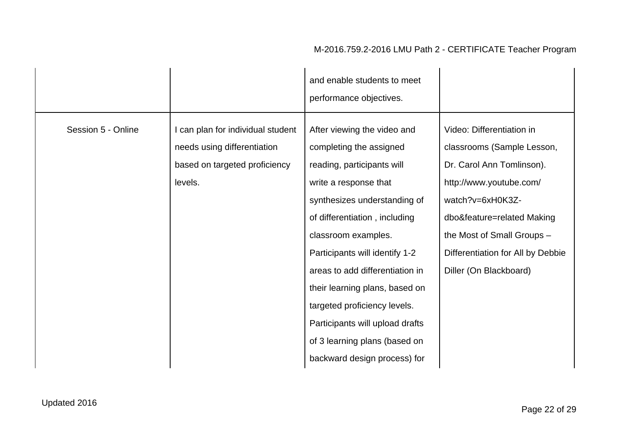|                    |                                                                                                              | and enable students to meet<br>performance objectives.                                                                                                                                                                                                                                                                                                                                                                                           |                                                                                                                                                                                                                                                                |
|--------------------|--------------------------------------------------------------------------------------------------------------|--------------------------------------------------------------------------------------------------------------------------------------------------------------------------------------------------------------------------------------------------------------------------------------------------------------------------------------------------------------------------------------------------------------------------------------------------|----------------------------------------------------------------------------------------------------------------------------------------------------------------------------------------------------------------------------------------------------------------|
| Session 5 - Online | I can plan for individual student<br>needs using differentiation<br>based on targeted proficiency<br>levels. | After viewing the video and<br>completing the assigned<br>reading, participants will<br>write a response that<br>synthesizes understanding of<br>of differentiation, including<br>classroom examples.<br>Participants will identify 1-2<br>areas to add differentiation in<br>their learning plans, based on<br>targeted proficiency levels.<br>Participants will upload drafts<br>of 3 learning plans (based on<br>backward design process) for | Video: Differentiation in<br>classrooms (Sample Lesson,<br>Dr. Carol Ann Tomlinson).<br>http://www.youtube.com/<br>watch?v=6xH0K3Z-<br>dbo&feature=related Making<br>the Most of Small Groups -<br>Differentiation for All by Debbie<br>Diller (On Blackboard) |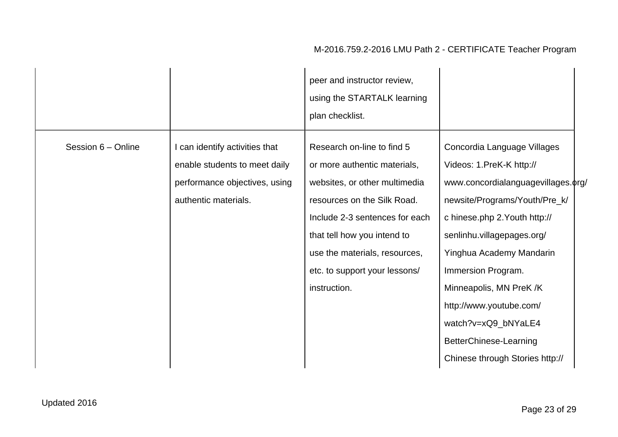|                    |                                                                                                                          | peer and instructor review,<br>using the STARTALK learning<br>plan checklist.                                                                                                                                                                                                 |                                                                                                                                                                                                                                                                                                                                                                                           |  |
|--------------------|--------------------------------------------------------------------------------------------------------------------------|-------------------------------------------------------------------------------------------------------------------------------------------------------------------------------------------------------------------------------------------------------------------------------|-------------------------------------------------------------------------------------------------------------------------------------------------------------------------------------------------------------------------------------------------------------------------------------------------------------------------------------------------------------------------------------------|--|
| Session 6 - Online | I can identify activities that<br>enable students to meet daily<br>performance objectives, using<br>authentic materials. | Research on-line to find 5<br>or more authentic materials,<br>websites, or other multimedia<br>resources on the Silk Road.<br>Include 2-3 sentences for each<br>that tell how you intend to<br>use the materials, resources,<br>etc. to support your lessons/<br>instruction. | Concordia Language Villages<br>Videos: 1.PreK-K http://<br>www.concordialanguagevillages.org/<br>newsite/Programs/Youth/Pre_k/<br>c hinese.php 2. Youth http://<br>senlinhu.villagepages.org/<br>Yinghua Academy Mandarin<br>Immersion Program.<br>Minneapolis, MN PreK /K<br>http://www.youtube.com/<br>watch?v=xQ9_bNYaLE4<br>BetterChinese-Learning<br>Chinese through Stories http:// |  |
|                    |                                                                                                                          |                                                                                                                                                                                                                                                                               |                                                                                                                                                                                                                                                                                                                                                                                           |  |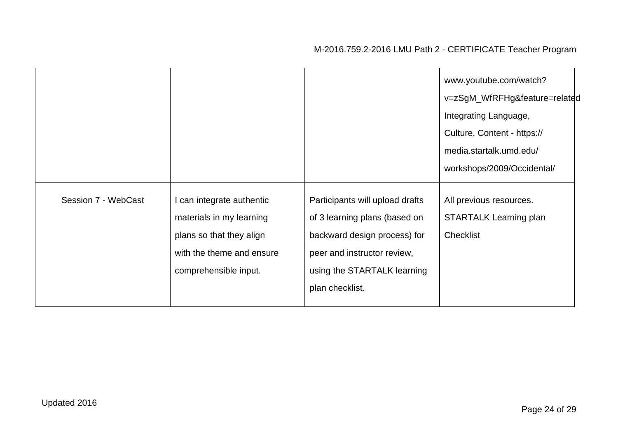|                     |                                                                                                                                       |                                                                                                                                                                                   | www.youtube.com/watch?<br>v=zSgM_WfRFHg&feature=related<br>Integrating Language,<br>Culture, Content - https://<br>media.startalk.umd.edu/<br>workshops/2009/Occidental/ |
|---------------------|---------------------------------------------------------------------------------------------------------------------------------------|-----------------------------------------------------------------------------------------------------------------------------------------------------------------------------------|--------------------------------------------------------------------------------------------------------------------------------------------------------------------------|
| Session 7 - WebCast | can integrate authentic<br>materials in my learning<br>plans so that they align<br>with the theme and ensure<br>comprehensible input. | Participants will upload drafts<br>of 3 learning plans (based on<br>backward design process) for<br>peer and instructor review,<br>using the STARTALK learning<br>plan checklist. | All previous resources.<br><b>STARTALK Learning plan</b><br>Checklist                                                                                                    |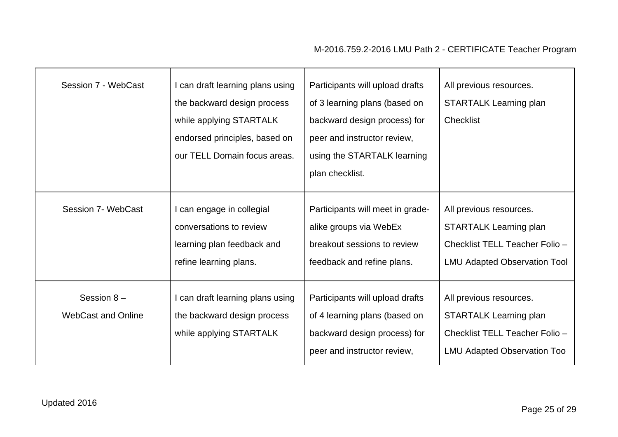| Session 7 - WebCast                       | I can draft learning plans using<br>the backward design process<br>while applying STARTALK<br>endorsed principles, based on<br>our TELL Domain focus areas. | Participants will upload drafts<br>of 3 learning plans (based on<br>backward design process) for<br>peer and instructor review,<br>using the STARTALK learning<br>plan checklist. | All previous resources.<br><b>STARTALK Learning plan</b><br><b>Checklist</b>                                                      |
|-------------------------------------------|-------------------------------------------------------------------------------------------------------------------------------------------------------------|-----------------------------------------------------------------------------------------------------------------------------------------------------------------------------------|-----------------------------------------------------------------------------------------------------------------------------------|
| Session 7- WebCast                        | I can engage in collegial<br>conversations to review<br>learning plan feedback and<br>refine learning plans.                                                | Participants will meet in grade-<br>alike groups via WebEx<br>breakout sessions to review<br>feedback and refine plans.                                                           | All previous resources.<br><b>STARTALK Learning plan</b><br>Checklist TELL Teacher Folio -<br><b>LMU Adapted Observation Tool</b> |
| Session $8-$<br><b>WebCast and Online</b> | I can draft learning plans using<br>the backward design process<br>while applying STARTALK                                                                  | Participants will upload drafts<br>of 4 learning plans (based on<br>backward design process) for<br>peer and instructor review,                                                   | All previous resources.<br><b>STARTALK Learning plan</b><br>Checklist TELL Teacher Folio -<br><b>LMU Adapted Observation Too</b>  |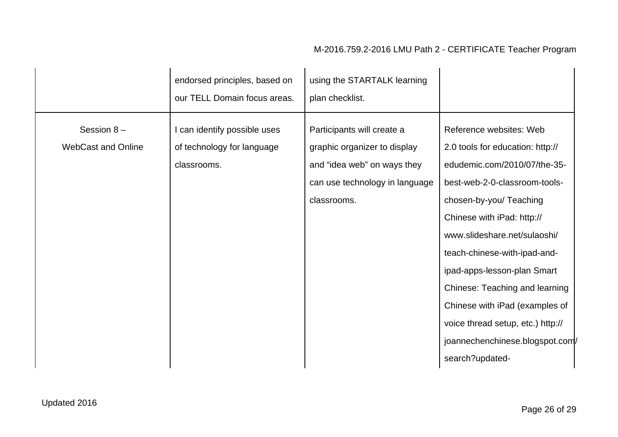|                                           | endorsed principles, based on<br>our TELL Domain focus areas.             | using the STARTALK learning<br>plan checklist.                                                                                             |                                                                                                                                                                                                                                                                                                                                                                                                                                                     |
|-------------------------------------------|---------------------------------------------------------------------------|--------------------------------------------------------------------------------------------------------------------------------------------|-----------------------------------------------------------------------------------------------------------------------------------------------------------------------------------------------------------------------------------------------------------------------------------------------------------------------------------------------------------------------------------------------------------------------------------------------------|
| Session $8-$<br><b>WebCast and Online</b> | I can identify possible uses<br>of technology for language<br>classrooms. | Participants will create a<br>graphic organizer to display<br>and "idea web" on ways they<br>can use technology in language<br>classrooms. | Reference websites: Web<br>2.0 tools for education: http://<br>edudemic.com/2010/07/the-35-<br>best-web-2-0-classroom-tools-<br>chosen-by-you/ Teaching<br>Chinese with iPad: http://<br>www.slideshare.net/sulaoshi/<br>teach-chinese-with-ipad-and-<br>ipad-apps-lesson-plan Smart<br>Chinese: Teaching and learning<br>Chinese with iPad (examples of<br>voice thread setup, etc.) http://<br>joannechenchinese.blogspot.com/<br>search?updated- |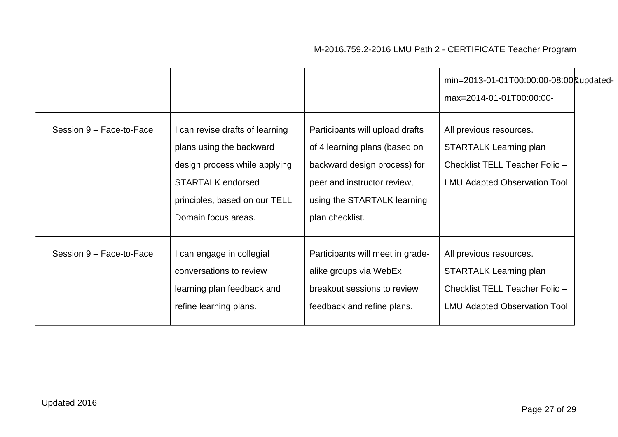|                          |                                                                                                                                                                                  |                                                                                                                                                                                   | min=2013-01-01T00:00:00-08:00&updated-<br>max=2014-01-01T00:00:00-                                                                |
|--------------------------|----------------------------------------------------------------------------------------------------------------------------------------------------------------------------------|-----------------------------------------------------------------------------------------------------------------------------------------------------------------------------------|-----------------------------------------------------------------------------------------------------------------------------------|
| Session 9 - Face-to-Face | I can revise drafts of learning<br>plans using the backward<br>design process while applying<br><b>STARTALK endorsed</b><br>principles, based on our TELL<br>Domain focus areas. | Participants will upload drafts<br>of 4 learning plans (based on<br>backward design process) for<br>peer and instructor review,<br>using the STARTALK learning<br>plan checklist. | All previous resources.<br><b>STARTALK Learning plan</b><br>Checklist TELL Teacher Folio -<br><b>LMU Adapted Observation Tool</b> |
| Session 9 - Face-to-Face | can engage in collegial<br>conversations to review<br>learning plan feedback and<br>refine learning plans.                                                                       | Participants will meet in grade-<br>alike groups via WebEx<br>breakout sessions to review<br>feedback and refine plans.                                                           | All previous resources.<br><b>STARTALK Learning plan</b><br>Checklist TELL Teacher Folio -<br><b>LMU Adapted Observation Tool</b> |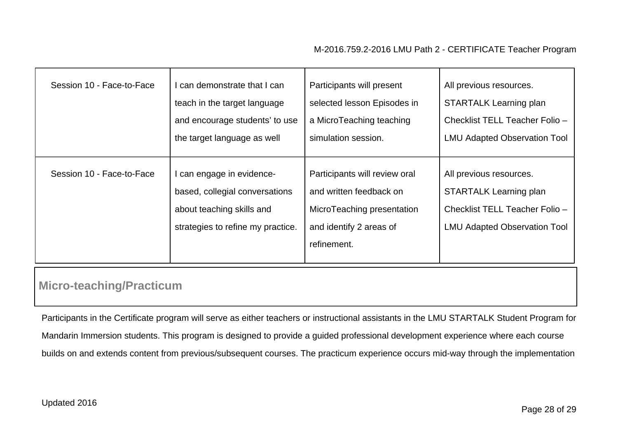| Session 10 - Face-to-Face | I can demonstrate that I can      | Participants will present     | All previous resources.             |
|---------------------------|-----------------------------------|-------------------------------|-------------------------------------|
|                           | teach in the target language      | selected lesson Episodes in   | <b>STARTALK Learning plan</b>       |
|                           | and encourage students' to use    | a MicroTeaching teaching      | Checklist TELL Teacher Folio -      |
|                           | the target language as well       | simulation session.           | <b>LMU Adapted Observation Tool</b> |
|                           |                                   |                               |                                     |
|                           |                                   |                               |                                     |
| Session 10 - Face-to-Face | I can engage in evidence-         | Participants will review oral | All previous resources.             |
|                           | based, collegial conversations    | and written feedback on       | <b>STARTALK Learning plan</b>       |
|                           | about teaching skills and         | MicroTeaching presentation    | Checklist TELL Teacher Folio -      |
|                           | strategies to refine my practice. | and identify 2 areas of       | <b>LMU Adapted Observation Tool</b> |
|                           |                                   | refinement.                   |                                     |
|                           |                                   |                               |                                     |

## **Micro-teaching/Practicum**

Participants in the Certificate program will serve as either teachers or instructional assistants in the LMU STARTALK Student Program for Mandarin Immersion students. This program is designed to provide a guided professional development experience where each course builds on and extends content from previous/subsequent courses. The practicum experience occurs mid-way through the implementation